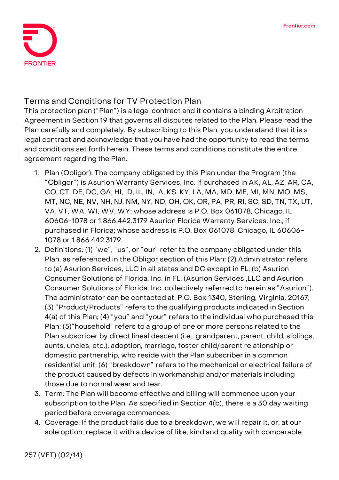

## **Terms and Conditions for TV Protection Plan**

This protection plan ("Plan") is a legal contract and it contains a binding Arbitration Agreement in Section 19 that governs all disputes related to the Plan. Please read the Plan carefully and completely. By subscribing to this Plan, you understand that it is a legal contract and acknowledge that you have had the opportunity to read the terms and conditions set forth herein. These terms and conditions constitute the entire agreement regarding the Plan.

- 1. **Plan (Obligor):** The company obligated by this Plan under the Program (the "Obligor") is Asurion Warranty Services, Inc. if purchased in AK, AL, AZ, AR, CA, CO, CT, DE, DC, GA, HI, ID, IL, IN, IA, KS, KY, LA, MA, MD, ME, MI, MN, MO, MS, MT, NC, NE, NV, NH, NJ, NM, NY, ND, OH, OK, OR, PA, PR, RI, SC, SD, TN, TX, UT, VA, VT, WA, WI, WV, WY; whose address is P.O. Box 061078, Chicago, IL 60606-1078 or 1.866.442.3179 Asurion Florida Warranty Services, Inc., if purchased in Florida; whose address is P.O. Box 061078, Chicago, IL 60606- 1078 or 1.866.442.3179.
- 2. **Definitions:** (1) "we", "us", or "our" refer to the company obligated under this Plan, as referenced in the Obligor section of this Plan; (2) Administrator refers to (a) Asurion Services, LLC in all states and DC except in FL; (b) Asurion Consumer Solutions of Florida, Inc. in FL, (Asurion Services ,LLC and Asurion Consumer Solutions of Florida, Inc. collectively referred to herein as "Asurion"). The administrator can be contacted at: P.O. Box 1340, Sterling, Virginia, 20167; (3) "Product/Products" refers to the qualifying products indicated in Section 4(a) of this Plan; (4) "you" and "your" refers to the individual who purchased this Plan; (5)"household" refers to a group of one or more persons related to the Plan subscriber by direct lineal descent (i.e., grandparent, parent, child, siblings, aunts, uncles, etc.), adoption, marriage, foster child/parent relationship or domestic partnership, who reside with the Plan subscriber in a common residential unit; (6) "breakdown" refers to the mechanical or electrical failure of the product caused by defects in workmanship and/or materials including those due to normal wear and tear.
- 3. **Term:** The Plan will become effective and billing will commence upon your subscription to the Plan. **As specified in Section 4(b), there is a 30 day waiting period before coverage commences.**
- 4. **Coverage:** If the product fails due to a breakdown, we will repair it, or, at our sole option, replace it with a device of like, kind and quality with comparable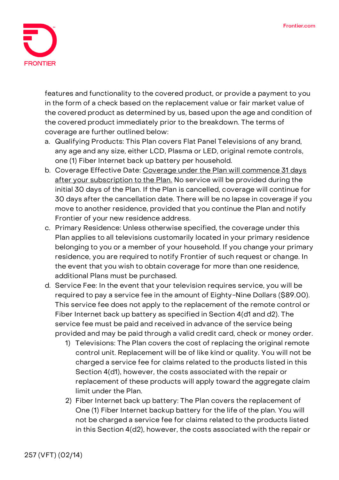

features and functionality to the covered product, or provide a payment to you in the form of a check based on the replacement value or fair market value of the covered product as determined by us, based upon the age and condition of the covered product immediately prior to the breakdown. The terms of coverage are further outlined below:

- a. Qualifying Products: This Plan covers Flat Panel Televisions of any brand, any age and any size, either LCD, Plasma or LED, original remote controls, one (1) Fiber Internet back up battery per household.
- b. Coverage Effective Date: **Coverage under the Plan will commence 31 days after your subscription to the Plan. No service will be provided during the initial 30 days of the Plan. If the Plan is cancelled, coverage will continue for 30 days after the cancellation date.** There will be no lapse in coverage if you move to another residence, provided that you continue the Plan and notify Frontier of your new residence address.
- c. Primary Residence: Unless otherwise specified, the coverage under this Plan applies to all televisions customarily located in your primary residence belonging to you or a member of your household. If you change your primary residence, you are required to notify Frontier of such request or change. In the event that you wish to obtain coverage for more than one residence, additional Plans must be purchased.
- d. Service Fee: **In the event that your television requires service, you will be required to pay a service fee in the amount of Eighty-Nine Dollars (\$89.00).** This service fee does not apply to the replacement of the remote control or Fiber Internet back up battery as specified in Section 4(d1 and d2). The service fee must be paid and received in advance of the service being provided and may be paid through a valid credit card, check or money order.
	- 1) Televisions: The Plan covers the cost of replacing the original remote control unit. Replacement will be of like kind or quality. You will not be charged a service fee for claims related to the products listed in this Section 4(d1), however, the costs associated with the repair or replacement of these products will apply toward the aggregate claim limit under the Plan.
	- 2) Fiber Internet back up battery: The Plan covers the replacement of One (1) Fiber Internet backup battery for the life of the plan. You will not be charged a service fee for claims related to the products listed in this Section 4(d2), however, the costs associated with the repair or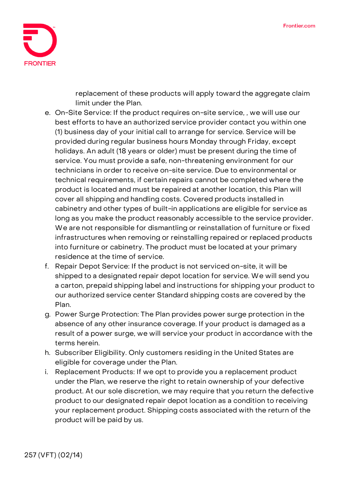

replacement of these products will apply toward the aggregate claim limit under the Plan.

- e. On-Site Service: If the product requires on-site service, , we will use our best efforts to have an authorized service provider contact you within one (1) business day of your initial call to arrange for service. Service will be provided during regular business hours Monday through Friday, except holidays. An adult (18 years or older) must be present during the time of service. You must provide a safe, non-threatening environment for our technicians in order to receive on-site service. Due to environmental or technical requirements, if certain repairs cannot be completed where the product is located and must be repaired at another location, this Plan will cover all shipping and handling costs. Covered products installed in cabinetry and other types of built-in applications are eligible for service as long as you make the product reasonably accessible to the service provider. We are not responsible for dismantling or reinstallation of furniture or fixed infrastructures when removing or reinstalling repaired or replaced products into furniture or cabinetry. The product must be located at your primary residence at the time of service.
- f. Repair Depot Service: If the product is not serviced on-site, it will be shipped to a designated repair depot location for service. We will send you a carton, prepaid shipping label and instructions for shipping your product to our authorized service center Standard shipping costs are covered by the Plan.
- g. Power Surge Protection: The Plan provides power surge protection in the absence of any other insurance coverage. If your product is damaged as a result of a power surge, we will service your product in accordance with the terms herein.
- h. Subscriber Eligibility. Only customers residing in the United States are eligible for coverage under the Plan.
- i. Replacement Products: If we opt to provide you a replacement product under the Plan, we reserve the right to retain ownership of your defective product. At our sole discretion, we may require that you return the defective product to our designated repair depot location as a condition to receiving your replacement product. Shipping costs associated with the return of the product will be paid by us.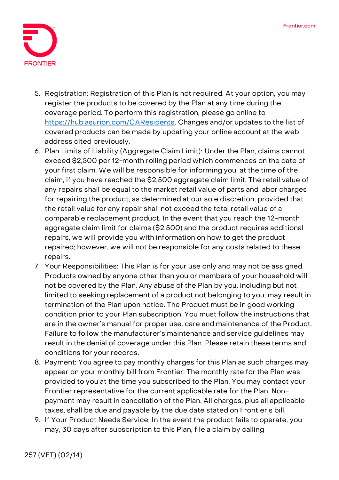

- 5. **Registration:** Registration of this Plan is not required. At your option, you may register the products to be covered by the Plan at any time during the coverage period. To perform this registration, please go online to [https://hub.asurion.com/CAResidents.](https://hub.asurion.com/CAResidents) Changes and/or updates to the list of covered products can be made by updating your online account at the web address cited previously.
- 6. **Plan Limits of Liability (Aggregate Claim Limit):** Under the Plan, claims cannot exceed \$2,500 per 12-month rolling period which commences on the date of your first claim. We will be responsible for informing you, at the time of the claim, if you have reached the \$2,500 aggregate claim limit. The retail value of any repairs shall be equal to the market retail value of parts and labor charges for repairing the product, as determined at our sole discretion, provided that the retail value for any repair shall not exceed the total retail value of a comparable replacement product. In the event that you reach the 12-month aggregate claim limit for claims (\$2,500) and the product requires additional repairs, we will provide you with information on how to get the product repaired; however, we will not be responsible for any costs related to these repairs.
- 7. **Your Responsibilities:** This Plan is for your use only and may not be assigned. Products owned by anyone other than you or members of your household will not be covered by the Plan. Any abuse of the Plan by you, including but not limited to seeking replacement of a product not belonging to you, may result in termination of the Plan upon notice. The Product must be in good working condition prior to your Plan subscription. You must follow the instructions that are in the owner's manual for proper use, care and maintenance of the Product. Failure to follow the manufacturer's maintenance and service guidelines may result in the denial of coverage under this Plan. Please retain these terms and conditions for your records.
- 8. **Payment:** You agree to pay monthly charges for this Plan as such charges may appear on your monthly bill from Frontier. The monthly rate for the Plan was provided to you at the time you subscribed to the Plan. You may contact your Frontier representative for the current applicable rate for the Plan. Nonpayment may result in cancellation of the Plan. All charges, plus all applicable taxes, shall be due and payable by the due date stated on Frontier's bill.
- 9. **If Your Product Needs Service:** In the event the product fails to operate, you may, 30 days after subscription to this Plan, file a claim by calling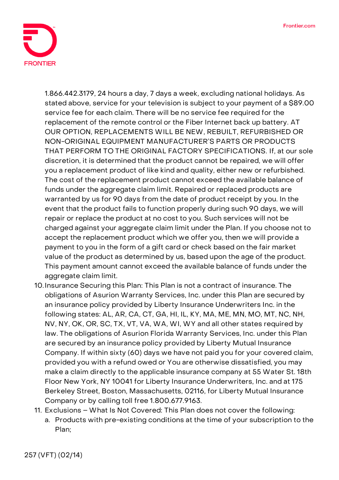

1.866.442.3179, 24 hours a day, 7 days a week, excluding national holidays. As stated above, service for your television is subject to your payment of a \$89.00 service fee for each claim. There will be no service fee required for the replacement of the remote control or the Fiber Internet back up battery. **AT OUR OPTION, REPLACEMENTS WILL BE NEW, REBUILT, REFURBISHED OR NON-ORIGINAL EQUIPMENT MANUFACTURER'S PARTS OR PRODUCTS THAT PERFORM TO THE ORIGINAL FACTORY SPECIFICATIONS.** If, at our sole discretion, it is determined that the product cannot be repaired, we will offer you a replacement product of like kind and quality, either new or refurbished. The cost of the replacement product cannot exceed the available balance of funds under the aggregate claim limit. Repaired or replaced products are warranted by us for 90 days from the date of product receipt by you. In the event that the product fails to function properly during such 90 days, we will repair or replace the product at no cost to you. Such services will not be charged against your aggregate claim limit under the Plan. If you choose not to accept the replacement product which we offer you, then we will provide a payment to you in the form of a gift card or check based on the fair market value of the product as determined by us, based upon the age of the product. This payment amount cannot exceed the available balance of funds under the aggregate claim limit.

- 10.**Insurance Securing this Plan:** This Plan is not a contract of insurance. The obligations of Asurion Warranty Services, Inc. under this Plan are secured by an insurance policy provided by Liberty Insurance Underwriters Inc. in the following states: AL, AR, CA, CT, GA, HI, IL, KY, MA, ME, MN, MO, MT, NC, NH, NV, NY, OK, OR, SC, TX, VT, VA, WA, WI, WY and all other states required by law. The obligations of Asurion Florida Warranty Services, Inc. under this Plan are secured by an insurance policy provided by Liberty Mutual Insurance Company. If within sixty (60) days we have not paid you for your covered claim, provided you with a refund owed or You are otherwise dissatisfied, you may make a claim directly to the applicable insurance company at 55 Water St. 18th Floor New York, NY 10041 for Liberty Insurance Underwriters, Inc. and at 175 Berkeley Street, Boston, Massachusetts, 02116, for Liberty Mutual Insurance Company or by calling toll free 1.800.677.9163.
- 11. **Exclusions – What Is Not Covered:** This Plan does not cover the following:
	- a. Products with pre-existing conditions at the time of your subscription to the Plan;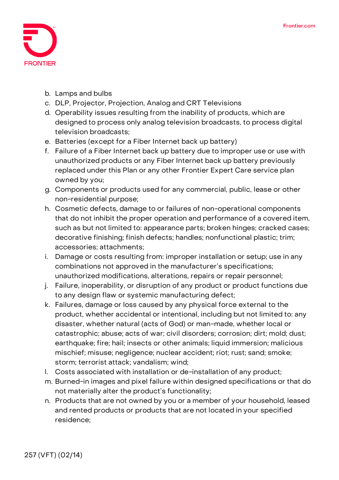

- b. Lamps and bulbs
- c. DLP, Projector, Projection, Analog and CRT Televisions
- d. Operability issues resulting from the inability of products, which are designed to process only analog television broadcasts, to process digital television broadcasts;
- e. Batteries (except for a Fiber Internet back up battery)
- f. Failure of a Fiber Internet back up battery due to improper use or use with unauthorized products or any Fiber Internet back up battery previously replaced under this Plan or any other Frontier Expert Care service plan owned by you;
- g. Components or products used for any commercial, public, lease or other non-residential purpose;
- h. Cosmetic defects, damage to or failures of non-operational components that do not inhibit the proper operation and performance of a covered item, such as but not limited to: appearance parts; broken hinges; cracked cases; decorative finishing; finish defects; handles; nonfunctional plastic; trim; accessories; attachments;
- i. Damage or costs resulting from: improper installation or setup; use in any combinations not approved in the manufacturer's specifications; unauthorized modifications, alterations, repairs or repair personnel;
- j. Failure, inoperability, or disruption of any product or product functions due to any design flaw or systemic manufacturing defect;
- k. Failures, damage or loss caused by any physical force external to the product, whether accidental or intentional, including but not limited to: any disaster, whether natural (acts of God) or man-made, whether local or catastrophic; abuse; acts of war; civil disorders; corrosion; dirt; mold; dust; earthquake; fire; hail; insects or other animals; liquid immersion; malicious mischief; misuse; negligence; nuclear accident; riot; rust; sand; smoke; storm; terrorist attack; vandalism; wind;
- l. Costs associated with installation or de-installation of any product;
- m. Burned-in images and pixel failure within designed specifications or that do not materially alter the product's functionality;
- n. Products that are not owned by you or a member of your household, leased and rented products or products that are not located in your specified residence;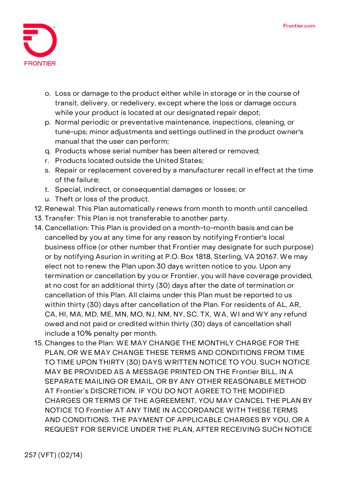

- o. Loss or damage to the product either while in storage or in the course of transit, delivery, or redelivery, except where the loss or damage occurs while your product is located at our designated repair depot;
- p. Normal periodic or preventative maintenance, inspections, cleaning, or tune-ups; minor adjustments and settings outlined in the product owner's manual that the user can perform;
- q. Products whose serial number has been altered or removed;
- r. Products located outside the United States;
- s. Repair or replacement covered by a manufacturer recall in effect at the time of the failure;
- t. Special, indirect, or consequential damages or losses; or
- u. Theft or loss of the product.
- 12. **Renewal:** This Plan automatically renews from month to month until cancelled.
- 13. **Transfer:** This Plan is not transferable to another party.
- 14. **Cancellation:** This Plan is provided on a month-to-month basis and can be cancelled by you at any time for any reason by notifying Frontier's local business office (or other number that Frontier may designate for such purpose) or by notifying Asurion in writing at P.O. Box 1818, Sterling, VA 20167. We may elect not to renew the Plan upon 30 days written notice to you. Upon any termination or cancellation by you or Frontier, you will have coverage provided, at no cost for an additional thirty (30) days after the date of termination or cancellation of this Plan. All claims under this Plan must be reported to us within thirty (30) days after cancellation of the Plan. For residents of AL, AR, CA, HI, MA, MD, ME, MN, MO, NJ, NM, NY, SC, TX, WA, WI and WY any refund owed and not paid or credited within thirty (30) days of cancellation shall include a 10% penalty per month.
- 15. **Changes to the Plan:** WE MAY CHANGE THE MONTHLY CHARGE FOR THE PLAN, OR WE MAY CHANGE THESE TERMS AND CONDITIONS FROM TIME TO TIME UPON THIRTY (30) DAYS WRITTEN NOTICE TO YOU. SUCH NOTICE MAY BE PROVIDED AS A MESSAGE PRINTED ON THE Frontier BILL, IN A SEPARATE MAILING OR EMAIL, OR BY ANY OTHER REASONABLE METHOD AT Frontier's DISCRETION. IF YOU DO NOT AGREE TO THE MODIFIED CHARGES OR TERMS OF THE AGREEMENT, YOU MAY CANCEL THE PLAN BY NOTICE TO Frontier AT ANY TIME IN ACCORDANCE WITH THESE TERMS AND CONDITIONS. THE PAYMENT OF APPLICABLE CHARGES BY YOU, OR A REQUEST FOR SERVICE UNDER THE PLAN, AFTER RECEIVING SUCH NOTICE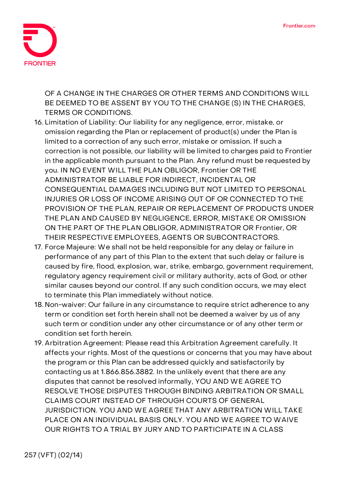

OF A CHANGE IN THE CHARGES OR OTHER TERMS AND CONDITIONS WILL BE DEEMED TO BE ASSENT BY YOU TO THE CHANGE (S) IN THE CHARGES, TERMS OR CONDITIONS.

- 16. **Limitation of Liability:** Our liability for any negligence, error, mistake, or omission regarding the Plan or replacement of product(s) under the Plan is limited to a correction of any such error, mistake or omission. If such a correction is not possible, our liability will be limited to charges paid to Frontier in the applicable month pursuant to the Plan. Any refund must be requested by you. IN NO EVENT WILL THE PLAN OBLIGOR, Frontier OR THE ADMINISTRATOR BE LIABLE FOR INDIRECT, INCIDENTAL OR CONSEQUENTIAL DAMAGES INCLUDING BUT NOT LIMITED TO PERSONAL INJURIES OR LOSS OF INCOME ARISING OUT OF OR CONNECTED TO THE PROVISION OF THE PLAN, REPAIR OR REPLACEMENT OF PRODUCTS UNDER THE PLAN AND CAUSED BY NEGLIGENCE, ERROR, MISTAKE OR OMISSION ON THE PART OF THE PLAN OBLIGOR, ADMINISTRATOR OR Frontier, OR THEIR RESPECTIVE EMPLOYEES, AGENTS OR SUBCONTRACTORS.
- 17. **Force Majeure:** We shall not be held responsible for any delay or failure in performance of any part of this Plan to the extent that such delay or failure is caused by fire, flood, explosion, war, strike, embargo, government requirement, regulatory agency requirement civil or military authority, acts of God, or other similar causes beyond our control. If any such condition occurs, we may elect to terminate this Plan immediately without notice.
- 18. **Non-waiver:** Our failure in any circumstance to require strict adherence to any term or condition set forth herein shall not be deemed a waiver by us of any such term or condition under any other circumstance or of any other term or condition set forth herein.
- 19. **Arbitration Agreement:** Please read this Arbitration Agreement carefully. It affects your rights. Most of the questions or concerns that you may have about the program or this Plan can be addressed quickly and satisfactorily by contacting us at 1.866.856.3882. In the unlikely event that there are any disputes that cannot be resolved informally, **YOU AND WE AGREE TO RESOLVE THOSE DISPUTES THROUGH BINDING ARBITRATION OR SMALL CLAIMS COURT INSTEAD OF THROUGH COURTS OF GENERAL JURISDICTION. YOU AND WE AGREE THAT ANY ARBITRATION WILL TAKE PLACE ON AN INDIVIDUAL BASIS ONLY. YOU AND WE AGREE TO WAIVE OUR RIGHTS TO A TRIAL BY JURY AND TO PARTICIPATE IN A CLASS**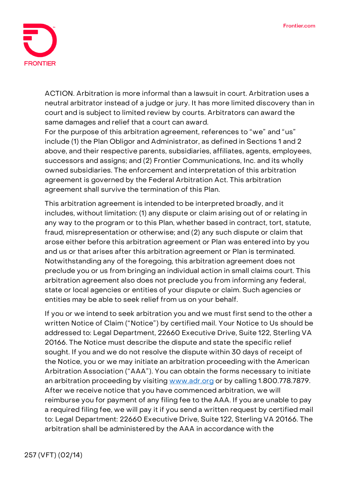

**ACTION.** Arbitration is more informal than a lawsuit in court. Arbitration uses a neutral arbitrator instead of a judge or jury. It has more limited discovery than in court and is subject to limited review by courts. Arbitrators can award the same damages and relief that a court can award.

For the purpose of this arbitration agreement, references to "we" and "us" include (1) the Plan Obligor and Administrator, as defined in Sections 1 and 2 above, and their respective parents, subsidiaries, affiliates, agents, employees, successors and assigns; and (2) Frontier Communications, Inc. and its wholly owned subsidiaries. The enforcement and interpretation of this arbitration agreement is governed by the Federal Arbitration Act. This arbitration agreement shall survive the termination of this Plan.

This arbitration agreement is intended to be interpreted broadly, and it includes, without limitation: (1) any dispute or claim arising out of or relating in any way to the program or to this Plan, whether based in contract, tort, statute, fraud, misrepresentation or otherwise; and (2) any such dispute or claim that arose either before this arbitration agreement or Plan was entered into by you and us or that arises after this arbitration agreement or Plan is terminated. Notwithstanding any of the foregoing, this arbitration agreement does not preclude you or us from bringing an individual action in small claims court. This arbitration agreement also does not preclude you from informing any federal, state or local agencies or entities of your dispute or claim. Such agencies or entities may be able to seek relief from us on your behalf.

If you or we intend to seek arbitration you and we must first send to the other a written Notice of Claim ("Notice") by certified mail. Your Notice to Us should be addressed to: Legal Department, 22660 Executive Drive, Suite 122, Sterling VA 20166. The Notice must describe the dispute and state the specific relief sought. If you and we do not resolve the dispute within 30 days of receipt of the Notice, you or we may initiate an arbitration proceeding with the American Arbitration Association ("AAA"). You can obtain the forms necessary to initiate an arbitration proceeding by visiting [www.adr.org](http://www.adr.org/) or by calling 1.800.778.7879. After we receive notice that you have commenced arbitration, we will reimburse you for payment of any filing fee to the AAA. If you are unable to pay a required filing fee, we will pay it if you send a written request by certified mail to: Legal Department: 22660 Executive Drive, Suite 122, Sterling VA 20166. The arbitration shall be administered by the AAA in accordance with the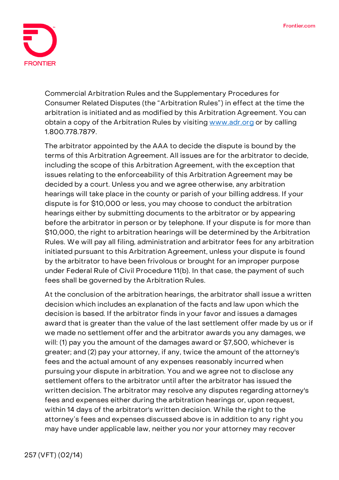

Commercial Arbitration Rules and the Supplementary Procedures for Consumer Related Disputes (the "Arbitration Rules") in effect at the time the arbitration is initiated and as modified by this Arbitration Agreement. You can obtain a copy of the Arbitration Rules by visiting [www.adr.org](http://www.adr.org/) or by calling 1.800.778.7879.

The arbitrator appointed by the AAA to decide the dispute is bound by the terms of this Arbitration Agreement. All issues are for the arbitrator to decide, including the scope of this Arbitration Agreement, with the exception that issues relating to the enforceability of this Arbitration Agreement may be decided by a court. Unless you and we agree otherwise, any arbitration hearings will take place in the county or parish of your billing address. If your dispute is for \$10,000 or less, you may choose to conduct the arbitration hearings either by submitting documents to the arbitrator or by appearing before the arbitrator in person or by telephone. If your dispute is for more than \$10,000, the right to arbitration hearings will be determined by the Arbitration Rules. We will pay all filing, administration and arbitrator fees for any arbitration initiated pursuant to this Arbitration Agreement, unless your dispute is found by the arbitrator to have been frivolous or brought for an improper purpose under Federal Rule of Civil Procedure 11(b). In that case, the payment of such fees shall be governed by the Arbitration Rules.

At the conclusion of the arbitration hearings, the arbitrator shall issue a written decision which includes an explanation of the facts and law upon which the decision is based. If the arbitrator finds in your favor and issues a damages award that is greater than the value of the last settlement offer made by us or if we made no settlement offer and the arbitrator awards you any damages, we will: (1) pay you the amount of the damages award or \$7,500, whichever is greater; and (2) pay your attorney, if any, twice the amount of the attorney's fees and the actual amount of any expenses reasonably incurred when pursuing your dispute in arbitration. You and we agree not to disclose any settlement offers to the arbitrator until after the arbitrator has issued the written decision. The arbitrator may resolve any disputes regarding attorney's fees and expenses either during the arbitration hearings or, upon request, within 14 days of the arbitrator's written decision. While the right to the attorney's fees and expenses discussed above is in addition to any right you may have under applicable law, neither you nor your attorney may recover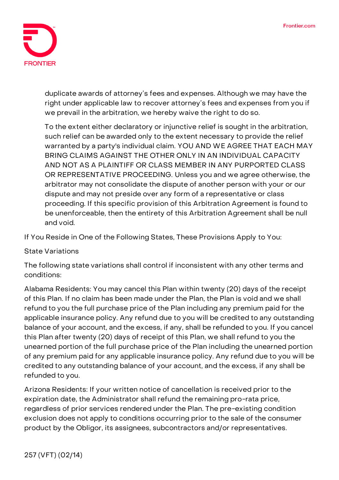

duplicate awards of attorney's fees and expenses. Although we may have the right under applicable law to recover attorney's fees and expenses from you if we prevail in the arbitration, we hereby waive the right to do so.

To the extent either declaratory or injunctive relief is sought in the arbitration, such relief can be awarded only to the extent necessary to provide the relief warranted by a party's individual claim. **YOU AND WE AGREE THAT EACH MAY BRING CLAIMS AGAINST THE OTHER ONLY IN AN INDIVIDUAL CAPACITY AND NOT AS A PLAINTIFF OR CLASS MEMBER IN ANY PURPORTED CLASS OR REPRESENTATIVE PROCEEDING.** Unless you and we agree otherwise, the arbitrator may not consolidate the dispute of another person with your or our dispute and may not preside over any form of a representative or class proceeding. If this specific provision of this Arbitration Agreement is found to be unenforceable, then the entirety of this Arbitration Agreement shall be null and void.

**If You Reside in One of the Following States, These Provisions Apply to You:**

## **State Variations**

The following state variations shall control if inconsistent with any other terms and conditions:

**Alabama Residents:** You may cancel this Plan within twenty (20) days of the receipt of this Plan. If no claim has been made under the Plan, the Plan is void and we shall refund to you the full purchase price of the Plan including any premium paid for the applicable insurance policy. Any refund due to you will be credited to any outstanding balance of your account, and the excess, if any, shall be refunded to you. If you cancel this Plan after twenty (20) days of receipt of this Plan, we shall refund to you the unearned portion of the full purchase price of the Plan including the unearned portion of any premium paid for any applicable insurance policy. Any refund due to you will be credited to any outstanding balance of your account, and the excess, if any shall be refunded to you.

**Arizona Residents:** If your written notice of cancellation is received prior to the expiration date, the Administrator shall refund the remaining pro-rata price, regardless of prior services rendered under the Plan. The pre-existing condition exclusion does not apply to conditions occurring prior to the sale of the consumer product by the Obligor, its assignees, subcontractors and/or representatives.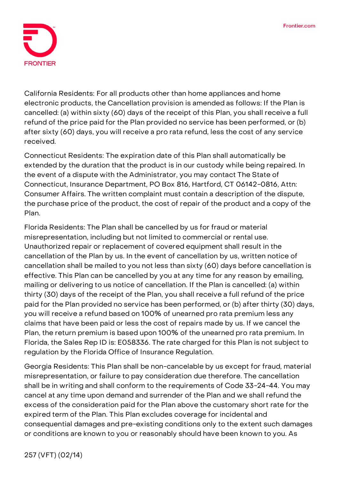

**California Residents:** For all products other than home appliances and home electronic products, the Cancellation provision is amended as follows: If the Plan is cancelled: (a) within sixty (60) days of the receipt of this Plan, you shall receive a full refund of the price paid for the Plan provided no service has been performed, or (b) after sixty (60) days, you will receive a pro rata refund, less the cost of any service received.

**Connecticut Residents:** The expiration date of this Plan shall automatically be extended by the duration that the product is in our custody while being repaired. In the event of a dispute with the Administrator, you may contact The State of Connecticut, Insurance Department, PO Box 816, Hartford, CT 06142-0816, Attn: Consumer Affairs. The written complaint must contain a description of the dispute, the purchase price of the product, the cost of repair of the product and a copy of the Plan.

**Florida Residents:** The Plan shall be cancelled by us for fraud or material misrepresentation, including but not limited to commercial or rental use. Unauthorized repair or replacement of covered equipment shall result in the cancellation of the Plan by us. In the event of cancellation by us, written notice of cancellation shall be mailed to you not less than sixty (60) days before cancellation is effective. This Plan can be cancelled by you at any time for any reason by emailing, mailing or delivering to us notice of cancellation. If the Plan is cancelled: (a) within thirty (30) days of the receipt of the Plan, you shall receive a full refund of the price paid for the Plan provided no service has been performed, or (b) after thirty (30) days, you will receive a refund based on 100% of unearned pro rata premium less any claims that have been paid or less the cost of repairs made by us. If we cancel the Plan, the return premium is based upon 100% of the unearned pro rata premium. In Florida, the Sales Rep ID is: E058336. The rate charged for this Plan is not subject to regulation by the Florida Office of Insurance Regulation.

**Georgia Residents:** This Plan shall be non-cancelable by us except for fraud, material misrepresentation, or failure to pay consideration due therefore. The cancellation shall be in writing and shall conform to the requirements of Code 33-24-44. You may cancel at any time upon demand and surrender of the Plan and we shall refund the excess of the consideration paid for the Plan above the customary short rate for the expired term of the Plan. This Plan excludes coverage for incidental and consequential damages and pre-existing conditions only to the extent such damages or conditions are known to you or reasonably should have been known to you. As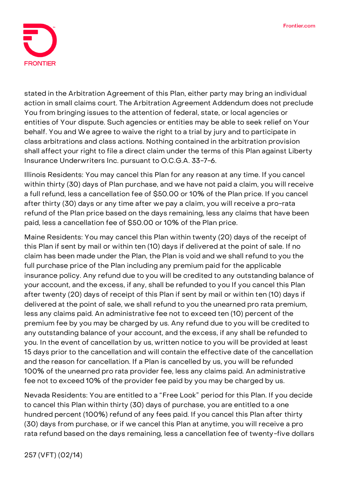

stated in the Arbitration Agreement of this Plan, either party may bring an individual action in small claims court. The Arbitration Agreement Addendum does not preclude You from bringing issues to the attention of federal, state, or local agencies or entities of Your dispute. Such agencies or entities may be able to seek relief on Your behalf. You and We agree to waive the right to a trial by jury and to participate in class arbitrations and class actions. Nothing contained in the arbitration provision shall affect your right to file a direct claim under the terms of this Plan against Liberty Insurance Underwriters Inc. pursuant to O.C.G.A. 33-7-6.

**Illinois Residents:** You may cancel this Plan for any reason at any time. If you cancel within thirty (30) days of Plan purchase, and we have not paid a claim, you will receive a full refund, less a cancellation fee of \$50.00 or 10% of the Plan price. If you cancel after thirty (30) days or any time after we pay a claim, you will receive a pro-rata refund of the Plan price based on the days remaining, less any claims that have been paid, less a cancellation fee of \$50.00 or 10% of the Plan price.

**Maine Residents:** You may cancel this Plan within twenty (20) days of the receipt of this Plan if sent by mail or within ten (10) days if delivered at the point of sale. If no claim has been made under the Plan, the Plan is void and we shall refund to you the full purchase price of the Plan including any premium paid for the applicable insurance policy. Any refund due to you will be credited to any outstanding balance of your account, and the excess, if any, shall be refunded to you If you cancel this Plan after twenty (20) days of receipt of this Plan if sent by mail or within ten (10) days if delivered at the point of sale, we shall refund to you the unearned pro rata premium, less any claims paid. An administrative fee not to exceed ten (10) percent of the premium fee by you may be charged by us. Any refund due to you will be credited to any outstanding balance of your account, and the excess, if any shall be refunded to you. In the event of cancellation by us, written notice to you will be provided at least 15 days prior to the cancellation and will contain the effective date of the cancellation and the reason for cancellation. If a Plan is cancelled by us, you will be refunded 100% of the unearned pro rata provider fee, less any claims paid. An administrative fee not to exceed 10% of the provider fee paid by you may be charged by us.

**Nevada Residents:** You are entitled to a "Free Look" period for this Plan. If you decide to cancel this Plan within thirty (30) days of purchase, you are entitled to a one hundred percent (100%) refund of any fees paid. If you cancel this Plan after thirty (30) days from purchase, or if we cancel this Plan at anytime, you will receive a pro rata refund based on the days remaining, less a cancellation fee of twenty-five dollars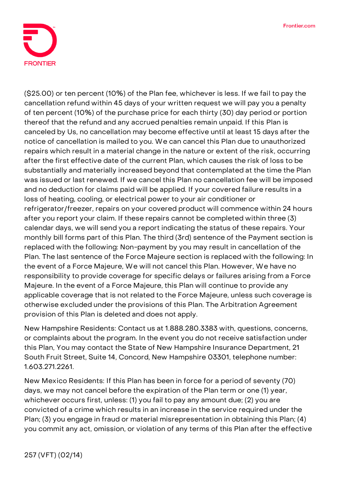

(\$25.00) or ten percent (10%) of the Plan fee, whichever is less. If we fail to pay the cancellation refund within 45 days of your written request we will pay you a penalty of ten percent (10%) of the purchase price for each thirty (30) day period or portion thereof that the refund and any accrued penalties remain unpaid. If this Plan is canceled by Us, no cancellation may become effective until at least 15 days after the notice of cancellation is mailed to you. We can cancel this Plan due to unauthorized repairs which result in a material change in the nature or extent of the risk, occurring after the first effective date of the current Plan, which causes the risk of loss to be substantially and materially increased beyond that contemplated at the time the Plan was issued or last renewed. If we cancel this Plan no cancellation fee will be imposed and no deduction for claims paid will be applied. If your covered failure results in a loss of heating, cooling, or electrical power to your air conditioner or refrigerator/freezer, repairs on your covered product will commence within 24 hours after you report your claim. If these repairs cannot be completed within three (3) calendar days, we will send you a report indicating the status of these repairs. Your monthly bill forms part of this Plan. The third (3rd) sentence of the Payment section is replaced with the following: Non-payment by you may result in cancellation of the Plan. The last sentence of the Force Majeure section is replaced with the following: In the event of a Force Majeure, We will not cancel this Plan. However, We have no responsibility to provide coverage for specific delays or failures arising from a Force Majeure. In the event of a Force Majeure, this Plan will continue to provide any applicable coverage that is not related to the Force Majeure, unless such coverage is otherwise excluded under the provisions of this Plan. The Arbitration Agreement provision of this Plan is deleted and does not apply.

**New Hampshire Residents:** Contact us at 1.888.280.3383 with, questions, concerns, or complaints about the program. In the event you do not receive satisfaction under this Plan, You may contact the State of New Hampshire Insurance Department, 21 South Fruit Street, Suite 14, Concord, New Hampshire 03301, telephone number: 1.603.271.2261.

**New Mexico Residents:** If this Plan has been in force for a period of seventy (70) days, we may not cancel before the expiration of the Plan term or one (1) year, whichever occurs first, unless: (1) you fail to pay any amount due; (2) you are convicted of a crime which results in an increase in the service required under the Plan; (3) you engage in fraud or material misrepresentation in obtaining this Plan; (4) you commit any act, omission, or violation of any terms of this Plan after the effective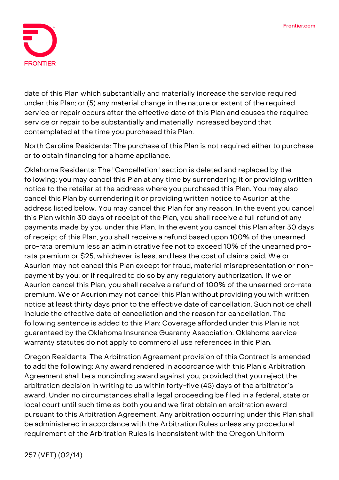

date of this Plan which substantially and materially increase the service required under this Plan; or (5) any material change in the nature or extent of the required service or repair occurs after the effective date of this Plan and causes the required service or repair to be substantially and materially increased beyond that contemplated at the time you purchased this Plan.

**North Carolina Residents:** The purchase of this Plan is not required either to purchase or to obtain financing for a home appliance.

**Oklahoma Residents:** The "Cancellation" section is deleted and replaced by the following: you may cancel this Plan at any time by surrendering it or providing written notice to the retailer at the address where you purchased this Plan. You may also cancel this Plan by surrendering it or providing written notice to Asurion at the address listed below. You may cancel this Plan for any reason. In the event you cancel this Plan within 30 days of receipt of the Plan, you shall receive a full refund of any payments made by you under this Plan. In the event you cancel this Plan after 30 days of receipt of this Plan, you shall receive a refund based upon 100% of the unearned pro-rata premium less an administrative fee not to exceed 10% of the unearned prorata premium or \$25, whichever is less, and less the cost of claims paid. We or Asurion may not cancel this Plan except for fraud, material misrepresentation or nonpayment by you; or if required to do so by any regulatory authorization. If we or Asurion cancel this Plan, you shall receive a refund of 100% of the unearned pro-rata premium. We or Asurion may not cancel this Plan without providing you with written notice at least thirty days prior to the effective date of cancellation. Such notice shall include the effective date of cancellation and the reason for cancellation. The following sentence is added to this Plan: Coverage afforded under this Plan is not guaranteed by the Oklahoma Insurance Guaranty Association. Oklahoma service warranty statutes do not apply to commercial use references in this Plan.

**Oregon Residents:** The Arbitration Agreement provision of this Contract is amended to add the following: Any award rendered in accordance with this Plan's Arbitration Agreement shall be a nonbinding award against you, provided that you reject the arbitration decision in writing to us within forty-five (45) days of the arbitrator's award. Under no circumstances shall a legal proceeding be filed in a federal, state or local court until such time as both you and we first obtain an arbitration award pursuant to this Arbitration Agreement. Any arbitration occurring under this Plan shall be administered in accordance with the Arbitration Rules unless any procedural requirement of the Arbitration Rules is inconsistent with the Oregon Uniform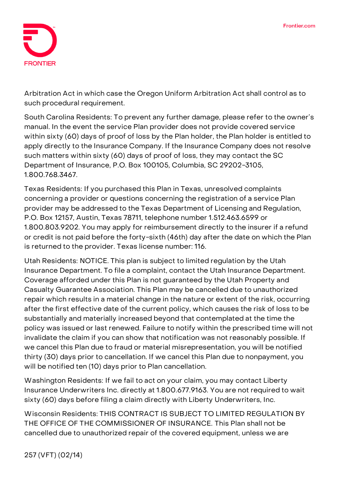

Arbitration Act in which case the Oregon Uniform Arbitration Act shall control as to such procedural requirement.

**South Carolina Residents:** To prevent any further damage, please refer to the owner's manual. In the event the service Plan provider does not provide covered service within sixty (60) days of proof of loss by the Plan holder, the Plan holder is entitled to apply directly to the Insurance Company. If the Insurance Company does not resolve such matters within sixty (60) days of proof of loss, they may contact the SC Department of Insurance, P.O. Box 100105, Columbia, SC 29202-3105, 1.800.768.3467.

**Texas Residents:** If you purchased this Plan in Texas, unresolved complaints concerning a provider or questions concerning the registration of a service Plan provider may be addressed to the Texas Department of Licensing and Regulation, P.O. Box 12157, Austin, Texas 78711, telephone number 1.512.463.6599 or 1.800.803.9202. You may apply for reimbursement directly to the insurer if a refund or credit is not paid before the forty-sixth (46th) day after the date on which the Plan is returned to the provider. Texas license number: 116.

**Utah Residents:** NOTICE. This plan is subject to limited regulation by the Utah Insurance Department. To file a complaint, contact the Utah Insurance Department. Coverage afforded under this Plan is not guaranteed by the Utah Property and Casualty Guarantee Association. This Plan may be cancelled due to unauthorized repair which results in a material change in the nature or extent of the risk, occurring after the first effective date of the current policy, which causes the risk of loss to be substantially and materially increased beyond that contemplated at the time the policy was issued or last renewed. Failure to notify within the prescribed time will not invalidate the claim if you can show that notification was not reasonably possible. If we cancel this Plan due to fraud or material misrepresentation, you will be notified thirty (30) days prior to cancellation. If we cancel this Plan due to nonpayment, you will be notified ten (10) days prior to Plan cancellation.

**Washington Residents:** If we fail to act on your claim, you may contact Liberty Insurance Underwriters Inc. directly at 1.800.677.9163. You are not required to wait sixty (60) days before filing a claim directly with Liberty Underwriters, Inc.

**Wisconsin Residents: THIS CONTRACT IS SUBJECT TO LIMITED REGULATION BY THE OFFICE OF THE COMMISSIONER OF INSURANCE.** This Plan shall not be cancelled due to unauthorized repair of the covered equipment, unless we are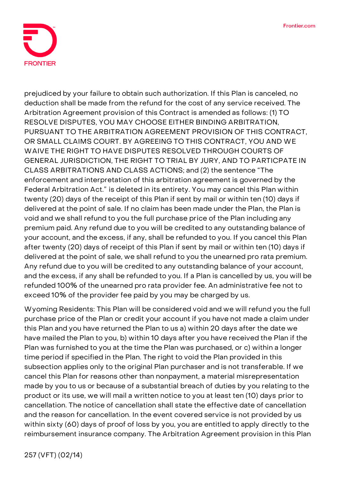

prejudiced by your failure to obtain such authorization. If this Plan is canceled, no deduction shall be made from the refund for the cost of any service received. The Arbitration Agreement provision of this Contract is amended as follows: (1) TO RESOLVE DISPUTES, YOU MAY CHOOSE EITHER BINDING ARBITRATION, PURSUANT TO THE ARBITRATION AGREEMENT PROVISION OF THIS CONTRACT, OR SMALL CLAIMS COURT. BY AGREEING TO THIS CONTRACT, YOU AND WE WAIVE THE RIGHT TO HAVE DISPUTES RESOLVED THROUGH COURTS OF GENERAL JURISDICTION, THE RIGHT TO TRIAL BY JURY, AND TO PARTICPATE IN CLASS ARBITRATIONS AND CLASS ACTIONS; and (2) the sentence "The enforcement and interpretation of this arbitration agreement is governed by the Federal Arbitration Act." is deleted in its entirety. You may cancel this Plan within twenty (20) days of the receipt of this Plan if sent by mail or within ten (10) days if delivered at the point of sale. If no claim has been made under the Plan, the Plan is void and we shall refund to you the full purchase price of the Plan including any premium paid. Any refund due to you will be credited to any outstanding balance of your account, and the excess, if any, shall be refunded to you. If you cancel this Plan after twenty (20) days of receipt of this Plan if sent by mail or within ten (10) days if delivered at the point of sale, we shall refund to you the unearned pro rata premium. Any refund due to you will be credited to any outstanding balance of your account, and the excess, if any shall be refunded to you. If a Plan is cancelled by us, you will be refunded 100% of the unearned pro rata provider fee. An administrative fee not to exceed 10% of the provider fee paid by you may be charged by us.

**Wyoming Residents:** This Plan will be considered void and we will refund you the full purchase price of the Plan or credit your account if you have not made a claim under this Plan and you have returned the Plan to us a) within 20 days after the date we have mailed the Plan to you, b) within 10 days after you have received the Plan if the Plan was furnished to you at the time the Plan was purchased, or c) within a longer time period if specified in the Plan. The right to void the Plan provided in this subsection applies only to the original Plan purchaser and is not transferable. If we cancel this Plan for reasons other than nonpayment, a material misrepresentation made by you to us or because of a substantial breach of duties by you relating to the product or its use, we will mail a written notice to you at least ten (10) days prior to cancellation. The notice of cancellation shall state the effective date of cancellation and the reason for cancellation. In the event covered service is not provided by us within sixty (60) days of proof of loss by you, you are entitled to apply directly to the reimbursement insurance company. The Arbitration Agreement provision in this Plan